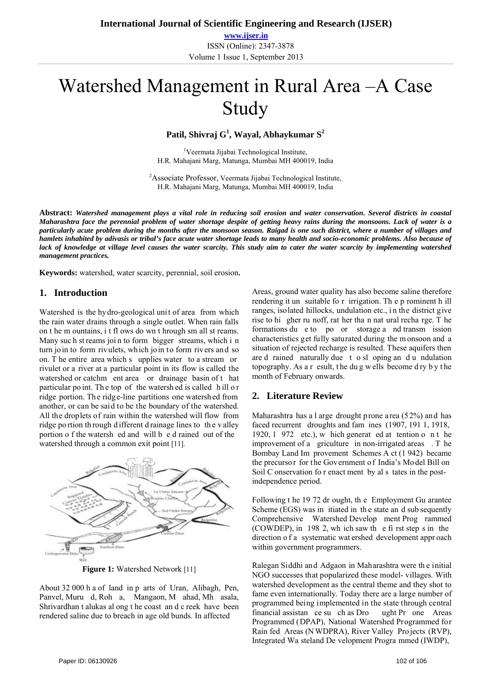**www.ijser.in** ISSN (Online): 2347-3878 Volume 1 Issue 1, September 2013

# Watershed Management in Rural Area –A Case Study

**Patil, Shivraj G1 , Wayal, Abhaykumar S<sup>2</sup>**

<sup>1</sup>Veermata Jijabai Technological Institute, H.R. Mahajani Marg, Matunga, Mumbai MH 400019, India

2 Associate Professor, Veermata Jijabai Technological Institute, H.R. Mahajani Marg, Matunga, Mumbai MH 400019, India

**Abstract:** *Watershed management plays a vital role in reducing soil erosion and water conservation***.** *Several districts in coastal Maharashtra face the perennial problem of water shortage despite of getting heavy rains during the monsoons. Lack of water is a particularly acute problem during the months after the monsoon season. Raigad is one such district, where a number of villages and hamlets inhabited by adivasis or tribal's face acute water shortage leads to many health and socio-economic problems. Also because of*  lack of knowledge at village level causes the water scarcity. This study aim to cater the water scarcity by implementing watershed *management practices.* 

**Keywords:** watershed, water scarcity, perennial, soil erosion**.** 

## **1. Introduction**

Watershed is the hydro-geological unit of area from which the rain water drains through a single outlet. When rain falls on t he m ountains, i t fl ows do wn t hrough sm all st reams. Many suc h st reams joi n to form bigger streams, which i n turn join to form rivulets, which join to form rivers and so on. T he entire area which s upplies water to a stream or rivulet or a river at a particular point in its flow is called the watershed or catchm ent area or drainage basin of that particular po int. Th e top of the watersh ed is called h ill o r ridge portion. The ridge-line partitions one watersh ed from another, or can be said to be the boundary of the watershed. All the droplets of rain within the watershed will flow from ridge po rtion th rough d ifferent d rainage lines to th e v alley portion o f the watersh ed and will b e d rained out of the watershed through a common exit point [11].



**Figure 1:** Watershed Network [11]

About 32 000 h a of land in p arts of Uran, Alibagh, Pen, Panvel, Muru d, Roh a, Mangaon, M ahad, Mh asala, Shrivardhan t alukas al ong t he coast an d c reek have been rendered saline due to breach in age old bunds. In affected

Areas, ground water quality has also become saline therefore rendering it un suitable fo r irrigation. Th e p rominent h ill ranges, isolated hillocks, undulation etc., in the district give rise to hi gher ru noff, rat her tha n nat ural recha rge. T he formations du e to po or storage a nd transm ission characteristics get fully saturated during the m onsoon and a situation of rejected recharge is resulted. These aquifers then are d rained naturally due t o sl oping an d u ndulation topography. As a r esult, t he du g w ells become d ry b y t he month of February onwards.

# **2. Literature Review**

Maharashtra has a l arge drought prone area (52%) and has faced recurrent droughts and fam ines (1907, 191 1, 1918, 1920, 1 972 etc.), w hich generat ed at tention o n t he improvement of a griculture in non-irrigated areas . T he Bombay Land Im provement Schemes A ct (1 942) became the precursor for the Gov ernment of India's Model Bill on Soil C onservation fo r enact ment by al s tates in the postindependence period.

Following t he 19 72 dr ought, th e Employment Gu arantee Scheme (EGS) was in itiated in th e state an d sub sequently Comprehensive Watershed Develop ment Prog rammed (COWDEP), in 198 2, wh ich saw th e fi rst step s in the direction o f a systematic wat ershed development appr oach within government programmers.

Ralegan Siddhi and Adgaon in Maharashtra were th e initial NGO successes that popularized these model- villages. With watershed development as the central theme and they shot to fame even internationally. Today there are a large number of programmed being implemented in the state through central financial assistan ce su ch as Dro ught Pr one Areas Programmed (DPAP), National Watershed Programmed for Rain fed Areas (N WDPRA), River Valley Pro jects (RVP), Integrated Wa steland De velopment Progra mmed (IWDP),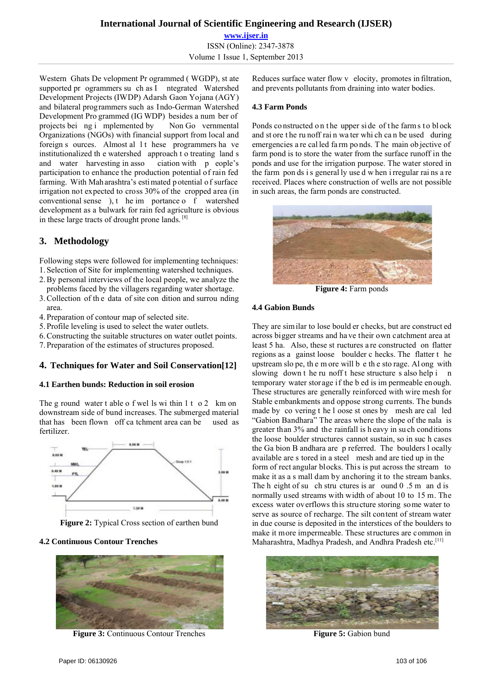**www.ijser.in** ISSN (Online): 2347-3878 Volume 1 Issue 1, September 2013

Western Ghats De velopment Pr ogrammed ( WGDP), st ate supported pr ogrammers su ch as I ntegrated Watershed Development Projects (IWDP) Adarsh Gaon Yojana (AGY) and bilateral programmers such as Indo-German Watershed Development Pro grammed (IG WDP) besides a num ber of projects bei ng i mplemented by Non Go vernmental Organizations (NGOs) with financial support from local and foreign s ources. Almost all t hese programmers ha ve institutionalized th e watershed approach t o treating land s and water harvesting in asso ciation with p eople's participation to enhance the production potential of rain fed farming. With Mah arashtra's esti mated p otential o f surface irrigation not expected to cross 30% of the cropped area (in conventional sense ), t he im portance o f watershed development as a bulwark for rain fed agriculture is obvious in these large tracts of drought prone lands. [8]

# **3. Methodology**

Following steps were followed for implementing techniques: 1. Selection of Site for implementing watershed techniques.

- 2.By personal interviews of the local people, we analyze the
- problems faced by the villagers regarding water shortage.
- 3.Collection of th e data of site con dition and surrou nding area.
- 4. Preparation of contour map of selected site.
- 5. Profile leveling is used to select the water outlets.
- 6.Constructing the suitable structures on water outlet points.
- 7. Preparation of the estimates of structures proposed.

# **4. Techniques for Water and Soil Conservation[12]**

## **4.1 Earthen bunds: Reduction in soil erosion**

The g round water t able o f wells wi thin  $1 t \cdot 0.2$  km on downstream side of bund increases. The submerged material that has been flown off ca tchment area can be used as fertilizer.



**Figure 2:** Typical Cross section of earthen bund

## **4.2 Continuous Contour Trenches**



**Figure 3:** Continuous Contour Trenches

Reduces surface water flow v elocity, promotes in filtration, and prevents pollutants from draining into water bodies.

## **4.3 Farm Ponds**

Ponds co nstructed on the upper side of the farm s to block and st ore t he ru noff rai n wa ter whi ch ca n be used during emergencies a re cal led fa rm po nds. T he main ob jective of farm pond is to store the water from the surface runoff in the ponds and use for the irrigation purpose. The water stored in the farm pon ds i s general ly use d w hen i rregular rai ns a re received. Places where construction of wells are not possible in such areas, the farm ponds are constructed.



**Figure 4:** Farm ponds

## **4.4 Gabion Bunds**

They are similar to lose bould er checks, but are construct ed across bigger streams and ha ve their own catchment area at least 5 ha. Also, these st ructures a re constructed on flatter regions as a gainst loose boulder c hecks. The flatter t he upstream slo pe, th e m ore will b e th e sto rage. Al ong with slowing down t he ru noff t hese structure s also help i n temporary water storage if the b ed is im permeable enough. These structures are generally reinforced with wire mesh for Stable embankments and oppose strong currents. The bunds made by co vering t he l oose st ones by mesh are cal led "Gabion Bandhara" The areas where the slope of the nala is greater than 3% and the rainfall is h eavy in su ch conditions the loose boulder structures cannot sustain, so in suc h cases the Ga bion B andhara are p referred. The boulders l ocally available are s tored in a steel mesh and are tied up in the form of rect angular blocks. This is put across the stream to make it as a s mall dam by anchoring it to the stream banks. The h eight of su ch stru ctures is ar ound  $0.5$  m and is normally used streams with width of about 10 to 15 m. The excess water overflows this structure storing some water to serve as source of recharge. The silt content of stream water in due course is deposited in the interstices of the boulders to make it more impermeable. These structures are common in Maharashtra, Madhya Pradesh, and Andhra Pradesh etc.<sup>[11]</sup>



**Figure 5:** Gabion bund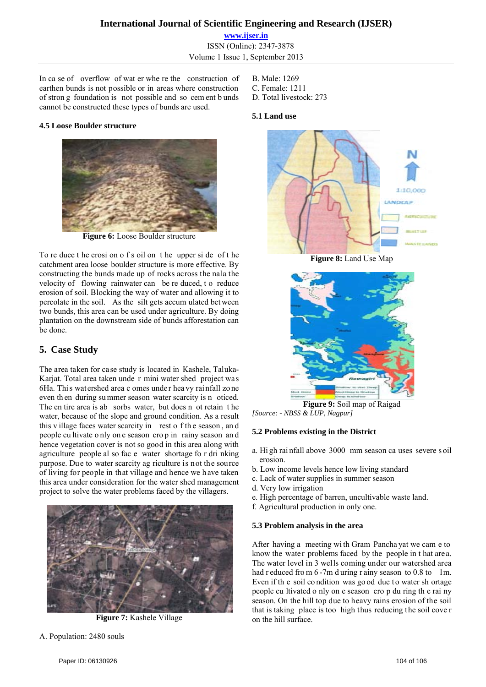**www.ijser.in** ISSN (Online): 2347-3878 Volume 1 Issue 1, September 2013

In ca se of overflow of wat er whe re the construction of earthen bunds is not possible or in areas where construction of stron g foundation is not possible and so cem ent b unds cannot be constructed these types of bunds are used.

#### **4.5 Loose Boulder structure**



**Figure 6:** Loose Boulder structure

To re duce t he erosi on o f s oil on t he upper si de of t he catchment area loose boulder structure is more effective. By constructing the bunds made up of rocks across the nala the velocity of flowing rainwater can be re duced, t o reduce erosion of soil. Blocking the way of water and allowing it to percolate in the soil. As the silt gets accum ulated bet ween two bunds, this area can be used under agriculture. By doing plantation on the downstream side of bunds afforestation can be done.

# **5. Case Study**

The area taken for case study is located in Kashele, Taluka-Karjat. Total area taken unde r mini water shed project was 6Ha. This watershed area c omes under heavy rainfall zone even th en during su mmer season water scarcity is n oticed. The en tire area is ab sorbs water, but does n ot retain t he water, because of the slope and ground condition. As a result this v illage faces water scarcity in rest o f th e season , an d people cu ltivate o nly on e season cro p in rainy season an d hence vegetation cover is not so good in this area along with agriculture people al so fac e water shortage fo r dri nking purpose. Due to water scarcity ag riculture is not the source of living for people in that village and hence we h ave taken this area under consideration for the water shed management project to solve the water problems faced by the villagers.



**Figure 7:** Kashele Village

- B. Male: 1269
- C. Female: 1211
- D. Total livestock: 273

#### **5.1 Land use**



**Figure 8:** Land Use Map



*[Source: - NBSS & LUP, Nagpur]*

## **5.2 Problems existing in the District**

- a. Hi gh rai nfall above 3000 mm season ca uses severe s oil erosion.
- b. Low income levels hence low living standard
- c. Lack of water supplies in summer season
- d. Very low irrigation
- e. High percentage of barren, uncultivable waste land.
- f. Agricultural production in only one.

#### **5.3 Problem analysis in the area**

After having a meeting wi th Gram Pancha yat we cam e to know the water problems faced by the people in t hat are a. The water level in 3 wells coming under our watershed area had r educed from 6-7m d uring r ainy season to 0.8 to 1m. Even if the soil condition was go od due to water sh ortage people cu ltivated o nly on e season cro p du ring th e rai ny season. On the hill top due to heavy rains erosion of the soil that is taking place is too high thus reducing the soil cove r on the hill surface.

A. Population: 2480 souls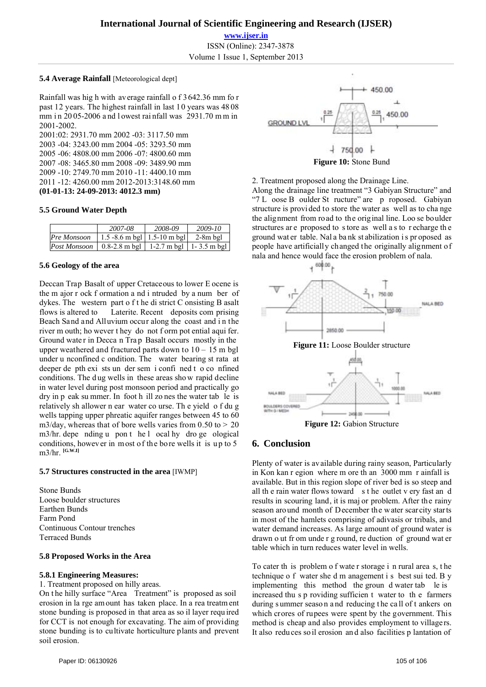**www.ijser.in** ISSN (Online): 2347-3878 Volume 1 Issue 1, September 2013

#### **5.4 Average Rainfall** [Meteorological dept]

Rainfall was hig h with average rainfall o f 3642.36 mm fo r past 12 years. The highest rainfall in last 10 years was 48 08 mm in 2005-2006 and l owest rai nfall was 2931.70 mm in 2001-2002.

2001:02: 2931.70 mm 2002 -03: 3117.50 mm 2003 -04: 3243.00 mm 2004 -05: 3293.50 mm 2005 -06: 4808.00 mm 2006 -07: 4800.60 mm 2007 -08: 3465.80 mm 2008 -09: 3489.90 mm 2009 -10: 2749.70 mm 2010 -11: 4400.10 mm 2011 -12: 4260.00 mm 2012-2013:3148.60 mm **(01-01-13: 24-09-2013: 4012.3 mm)** 

#### **5.5 Ground Water Depth**

|                                                                 | 2007-08                        | 2008-09 | 2009-10    |
|-----------------------------------------------------------------|--------------------------------|---------|------------|
| Pre Monsoon                                                     | 1.5 -8.6 m bgl   1.5 -10 m bgl |         | $2-8m$ bgl |
| <i>Post Monsoon</i>   0.8-2.8 m bgl   1-2.7 m bgl   1-3.5 m bgl |                                |         |            |

#### **5.6 Geology of the area**

Deccan Trap Basalt of upper Cretaceous to lower E ocene is the m ajor r ock f ormation a nd i ntruded by a num ber of dykes. The western part o f t he di strict C onsisting B asalt flows is altered to Laterite. Recent deposits com prising Beach Sand and Alluvium occur along the coast and i n the river m outh; ho wever t hey do not f orm pot ential aqui fer. Ground wate r in Decca n Tra p Basalt occurs mostly in the upper weathered and fractured parts down to  $10 - 15$  m bgl under u nconfined c ondition. The water bearing st rata at deeper de pth exi sts un der sem i confi ned t o co nfined conditions. The d ug wells in these areas sho w rapid decline in water level during post monsoon period and practically go dry in p eak su mmer. In foot h ill zo nes the water tab le is relatively sh allower n ear water co urse. Th e yield o f du g wells tapping upper phreatic aquifer ranges between 45 to 60 m3/day, whereas that of bore wells varies from  $0.50$  to  $> 20$ m3/hr. depe nding u pon t he l ocal hy dro ge ological conditions, however in most of the bore wells it is up to 5 m3/hr. **[G.W.I]**

#### **5.7 Structures constructed in the area** [IWMP]

Stone Bunds Loose boulder structures Earthen Bunds Farm Pond Continuous Contour trenches Terraced Bunds

#### **5.8 Proposed Works in the Area**

#### **5.8.1 Engineering Measures:**

1. Treatment proposed on hilly areas.

On the hilly surface "Area Treatment" is proposed as soil erosion in la rge am ount has taken place. In a rea treatm ent stone bunding is proposed in that area as so il layer requ ired for CCT is not enough for excavating. The aim of providing stone bunding is to cultivate horticulture plants and prevent soil erosion.



#### 2. Treatment proposed along the Drainage Line.

Along the drainage line treatment "3 Gabiyan Structure" and "7 L oose B oulder St ructure" are p roposed. Gabiyan structure is provi ded to store the water as well as to cha nge the alignment from road to the original line. Loo se boulder structures ar e proposed to s tore as well a s to r echarge th e ground wat er table. Nal a ba nk st abilization i s pr oposed as people have artificially changed the originally alignment of nala and hence would face the erosion problem of nala.



## **6. Conclusion**

Plenty of water is available during rainy season, Particularly in Kon kan r egion where m ore th an 3000 mm r ainfall is available. But in this region slope of river bed is so steep and all th e rain water flows toward s t he outlet v ery fast an d results in scouring land, it is maj or problem. After the rainy season around month of December the water scarcity starts in most of the hamlets comprising of adivasis or tribals, and water demand increases. As large amount of ground water is drawn o ut fr om unde r g round, re duction of ground wat er table which in turn reduces water level in wells.

To cater th is problem o f wate r storage i n rural area s, t he technique o f water she d m anagement i s best sui ted. B y implementing this method the groun d water tab le is increased thu s p roviding sufficien t water to th e farmers during summer season and reducing the call of t ankers on which crores of rupees were spent by the government. This method is cheap and also provides employment to villagers. It also redu ces so il erosion an d also facilities p lantation of